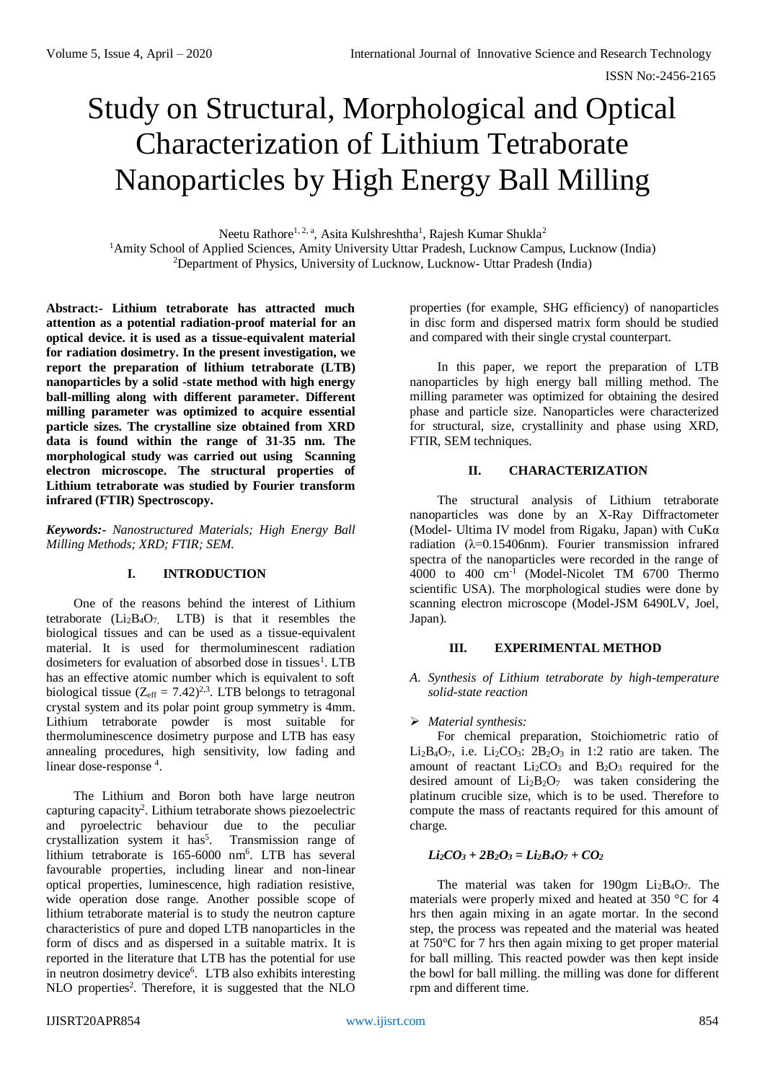# Study on Structural, Morphological and Optical Characterization of Lithium Tetraborate Nanoparticles by High Energy Ball Milling

Neetu Rathore<sup>1, 2, a</sup>, Asita Kulshreshtha<sup>1</sup>, Rajesh Kumar Shukla<sup>2</sup>

<sup>1</sup>Amity School of Applied Sciences, Amity University Uttar Pradesh, Lucknow Campus, Lucknow (India) <sup>2</sup>Department of Physics, University of Lucknow, Lucknow- Uttar Pradesh (India)

**Abstract:- Lithium tetraborate has attracted much attention as a potential radiation-proof material for an optical device. it is used as a tissue-equivalent material for radiation dosimetry. In the present investigation, we report the preparation of lithium tetraborate (LTB) nanoparticles by a solid -state method with high energy ball-milling along with different parameter. Different milling parameter was optimized to acquire essential particle sizes. The crystalline size obtained from XRD data is found within the range of 31-35 nm. The morphological study was carried out using Scanning electron microscope. The structural properties of Lithium tetraborate was studied by Fourier transform infrared (FTIR) Spectroscopy.** 

*Keywords:- Nanostructured Materials; High Energy Ball Milling Methods; XRD; FTIR; SEM.*

## **I. INTRODUCTION**

One of the reasons behind the interest of Lithium tetraborate  $(Li<sub>2</sub>B<sub>4</sub>O<sub>7</sub>$  LTB) is that it resembles the biological tissues and can be used as a tissue-equivalent material. It is used for thermoluminescent radiation dosimeters for evaluation of absorbed dose in tissues<sup>1</sup>. LTB has an effective atomic number which is equivalent to soft biological tissue ( $Z_{\text{eff}} = 7.42)^{2.3}$ . LTB belongs to tetragonal crystal system and its polar point group symmetry is 4mm. Lithium tetraborate powder is most suitable for thermoluminescence dosimetry purpose and LTB has easy annealing procedures, high sensitivity, low fading and linear dose-response<sup>4</sup>.

The Lithium and Boron both have large neutron capturing capacity<sup>2</sup> . Lithium tetraborate shows piezoelectric and pyroelectric behaviour due to the peculiar crystallization system it has<sup>5</sup>. Transmission range of lithium tetraborate is 165-6000 nm<sup>6</sup>. LTB has several favourable properties, including linear and non-linear optical properties, luminescence, high radiation resistive, wide operation dose range. Another possible scope of lithium tetraborate material is to study the neutron capture characteristics of pure and doped LTB nanoparticles in the form of discs and as dispersed in a suitable matrix. It is reported in the literature that LTB has the potential for use in neutron dosimetry device<sup>6</sup>. LTB also exhibits interesting NLO properties<sup>2</sup>. Therefore, it is suggested that the NLO

properties (for example, SHG efficiency) of nanoparticles in disc form and dispersed matrix form should be studied and compared with their single crystal counterpart.

In this paper, we report the preparation of LTB nanoparticles by high energy ball milling method. The milling parameter was optimized for obtaining the desired phase and particle size. Nanoparticles were characterized for structural, size, crystallinity and phase using XRD, FTIR, SEM techniques.

# **II. CHARACTERIZATION**

The structural analysis of Lithium tetraborate nanoparticles was done by an X-Ray Diffractometer (Model- Ultima IV model from Rigaku, Japan) with  $CuKa$ radiation  $(\lambda=0.15406nm)$ . Fourier transmission infrared spectra of the nanoparticles were recorded in the range of 4000 to 400 cm-1 (Model-Nicolet TM 6700 Thermo scientific USA). The morphological studies were done by scanning electron microscope (Model-JSM 6490LV, Joel, Japan).

#### **III. EXPERIMENTAL METHOD**

### *A. Synthesis of Lithium tetraborate by high-temperature solid-state reaction*

#### *Material synthesis:*

For chemical preparation, Stoichiometric ratio of Li<sub>2</sub>B<sub>4</sub>O<sub>7</sub>, i.e. Li<sub>2</sub>CO<sub>3</sub>: 2B<sub>2</sub>O<sub>3</sub> in 1:2 ratio are taken. The amount of reactant  $Li<sub>2</sub>CO<sub>3</sub>$  and  $B<sub>2</sub>O<sub>3</sub>$  required for the desired amount of  $Li_2B_2O_7$  was taken considering the platinum crucible size, which is to be used. Therefore to compute the mass of reactants required for this amount of charge.

## $Li_2CO_3 + 2B_2O_3 = Li_2B_4O_7 + CO_2$

The material was taken for 190gm  $Li<sub>2</sub>B<sub>4</sub>O<sub>7</sub>$ . The materials were properly mixed and heated at 350 °C for 4 hrs then again mixing in an agate mortar. In the second step, the process was repeated and the material was heated at 750°C for 7 hrs then again mixing to get proper material for ball milling. This reacted powder was then kept inside the bowl for ball milling. the milling was done for different rpm and different time.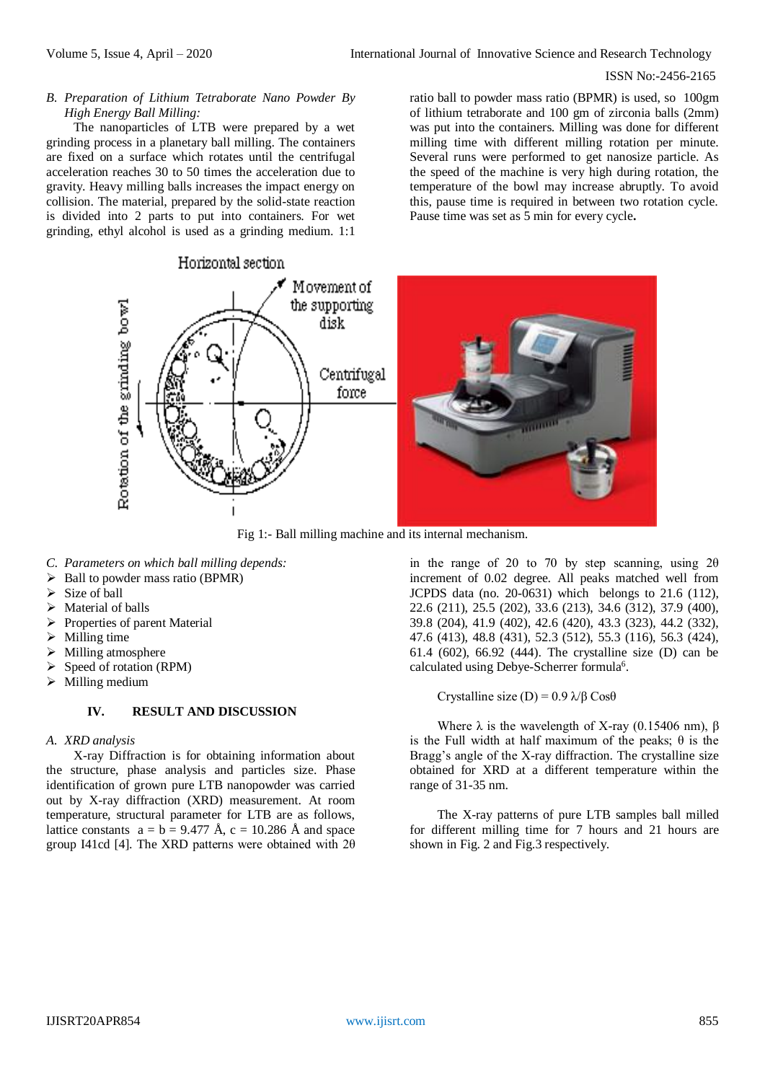#### ISSN No:-2456-2165

## *B. Preparation of Lithium Tetraborate Nano Powder By High Energy Ball Milling:*

The nanoparticles of LTB were prepared by a wet grinding process in a planetary ball milling. The containers are fixed on a surface which rotates until the centrifugal acceleration reaches 30 to 50 times the acceleration due to gravity. Heavy milling balls increases the impact energy on collision. The material, prepared by the solid-state reaction is divided into 2 parts to put into containers. For wet grinding, ethyl alcohol is used as a grinding medium. 1:1

ratio ball to powder mass ratio (BPMR) is used, so 100gm of lithium tetraborate and 100 gm of zirconia balls (2mm) was put into the containers. Milling was done for different milling time with different milling rotation per minute. Several runs were performed to get nanosize particle. As the speed of the machine is very high during rotation, the temperature of the bowl may increase abruptly. To avoid this, pause time is required in between two rotation cycle. Pause time was set as 5 min for every cycle**.**



Fig 1:- Ball milling machine and its internal mechanism.

- *C. Parameters on which ball milling depends:*
- $\triangleright$  Ball to powder mass ratio (BPMR)
- $\triangleright$  Size of ball
- $\triangleright$  Material of balls
- $\triangleright$  Properties of parent Material
- $\triangleright$  Milling time
- $\triangleright$  Milling atmosphere
- Speed of rotation (RPM)
- $\triangleright$  Milling medium

# **IV. RESULT AND DISCUSSION**

#### *A. XRD analysis*

X-ray Diffraction is for obtaining information about the structure, phase analysis and particles size. Phase identification of grown pure LTB nanopowder was carried out by X-ray diffraction (XRD) measurement. At room temperature, structural parameter for LTB are as follows, lattice constants  $a = b = 9.477 \text{ Å}$ ,  $c = 10.286 \text{ Å}$  and space group I41cd [4]. The XRD patterns were obtained with 2θ

in the range of 20 to 70 by step scanning, using  $2\theta$ increment of 0.02 degree. All peaks matched well from JCPDS data (no. 20-0631) which belongs to 21.6 (112), 22.6 (211), 25.5 (202), 33.6 (213), 34.6 (312), 37.9 (400), 39.8 (204), 41.9 (402), 42.6 (420), 43.3 (323), 44.2 (332), 47.6 (413), 48.8 (431), 52.3 (512), 55.3 (116), 56.3 (424), 61.4 (602), 66.92 (444). The crystalline size (D) can be calculated using Debye-Scherrer formula<sup>6</sup>.

## Crystalline size (D) =  $0.9 \lambda/\beta \cos\theta$

Where  $\lambda$  is the wavelength of X-ray (0.15406 nm), β is the Full width at half maximum of the peaks; θ is the Bragg's angle of the X-ray diffraction. The crystalline size obtained for XRD at a different temperature within the range of 31-35 nm.

The X-ray patterns of pure LTB samples ball milled for different milling time for 7 hours and 21 hours are shown in Fig. 2 and Fig.3 respectively.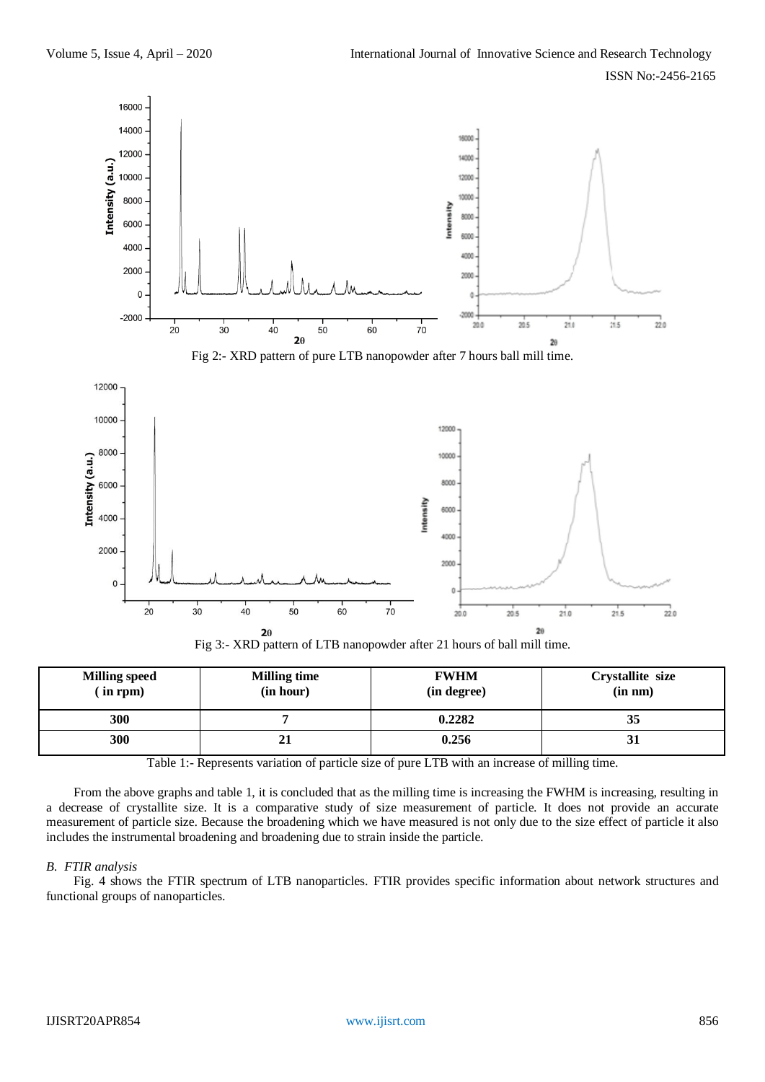

Fig 3:- XRD pattern of LTB nanopowder after 21 hours of ball mill time.

| <b>Milling speed</b><br>$(in$ rpm) | <b>Milling time</b><br>(in hour) | <b>FWHM</b><br>(in degree) | Crystallite size<br>(in nm) |
|------------------------------------|----------------------------------|----------------------------|-----------------------------|
| 300                                |                                  | 0.2282                     | 33                          |
| 300                                | ◢                                | 0.256                      | IJ                          |

Table 1:- Represents variation of particle size of pure LTB with an increase of milling time.

From the above graphs and table 1, it is concluded that as the milling time is increasing the FWHM is increasing, resulting in a decrease of crystallite size. It is a comparative study of size measurement of particle. It does not provide an accurate measurement of particle size. Because the broadening which we have measured is not only due to the size effect of particle it also includes the instrumental broadening and broadening due to strain inside the particle.

#### *B. FTIR analysis*

Fig. 4 shows the FTIR spectrum of LTB nanoparticles. FTIR provides specific information about network structures and functional groups of nanoparticles.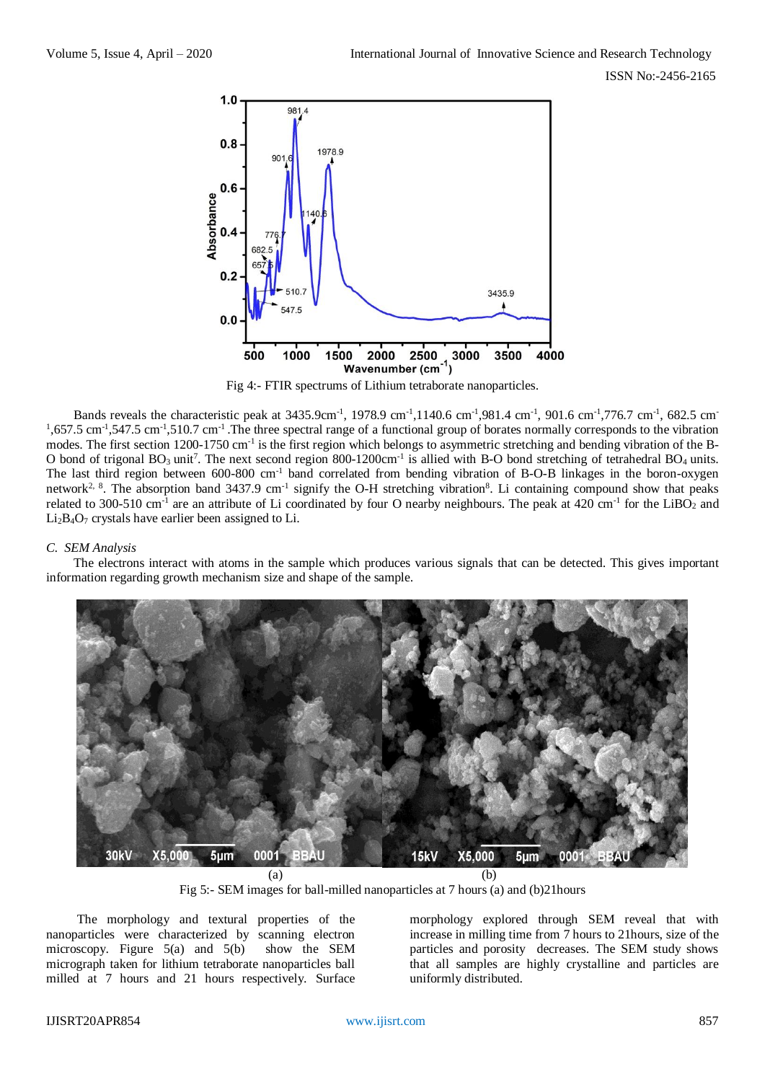

Fig 4:- FTIR spectrums of Lithium tetraborate nanoparticles.

Bands reveals the characteristic peak at 3435.9cm<sup>-1</sup>, 1978.9 cm<sup>-1</sup>,1140.6 cm<sup>-1</sup>,981.4 cm<sup>-1</sup>, 901.6 cm<sup>-1</sup>,776.7 cm<sup>-1</sup>, 682.5 cm<sup>-</sup>  $1,657.5$  cm<sup>-1</sup>,547.5 cm<sup>-1</sup>,510.7 cm<sup>-1</sup>. The three spectral range of a functional group of borates normally corresponds to the vibration modes. The first section 1200-1750 cm<sup>-1</sup> is the first region which belongs to asymmetric stretching and bending vibration of the B-O bond of trigonal  $BO_3$  unit<sup>7</sup>. The next second region 800-1200cm<sup>-1</sup> is allied with B-O bond stretching of tetrahedral  $BO_4$  units. The last third region between 600-800 cm<sup>-1</sup> band correlated from bending vibration of B-O-B linkages in the boron-oxygen network<sup>2, 8</sup>. The absorption band  $3437.9 \text{ cm}^{-1}$  signify the O-H stretching vibration<sup>8</sup>. Li containing compound show that peaks related to 300-510 cm<sup>-1</sup> are an attribute of Li coordinated by four O nearby neighbours. The peak at 420 cm<sup>-1</sup> for the LiBO<sub>2</sub> and  $Li<sub>2</sub>B<sub>4</sub>O<sub>7</sub>$  crystals have earlier been assigned to Li.

## *C. SEM Analysis*

The electrons interact with atoms in the sample which produces various signals that can be detected. This gives important information regarding growth mechanism size and shape of the sample.



Fig 5:- SEM images for ball-milled nanoparticles at 7 hours (a) and (b)21hours

The morphology and textural properties of the nanoparticles were characterized by scanning electron<br>microscopy. Figure 5(a) and 5(b) show the SEM microscopy. Figure  $5(a)$  and  $5(b)$ micrograph taken for lithium tetraborate nanoparticles ball milled at 7 hours and 21 hours respectively. Surface

morphology explored through SEM reveal that with increase in milling time from 7 hours to 21hours, size of the particles and porosity decreases. The SEM study shows that all samples are highly crystalline and particles are uniformly distributed.